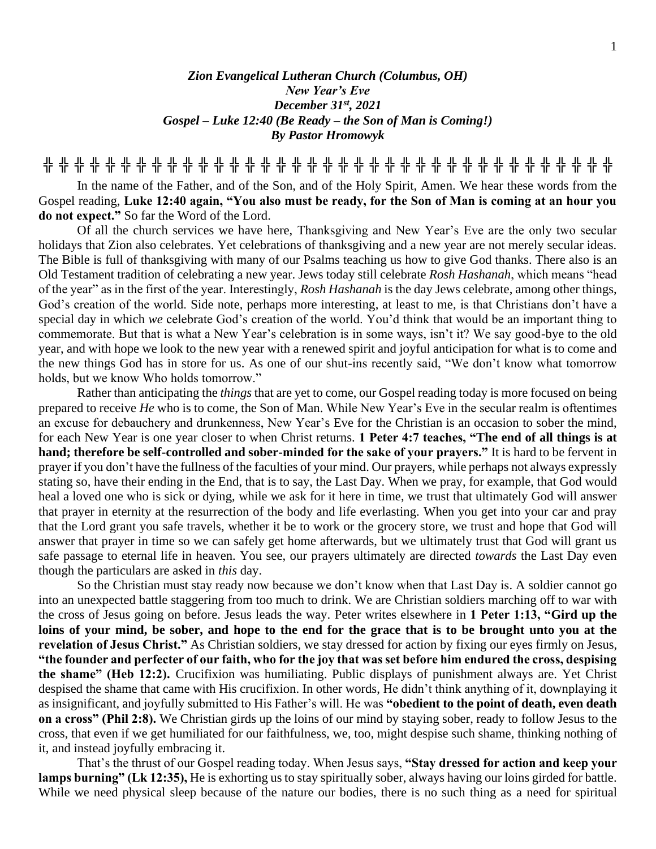# *Zion Evangelical Lutheran Church (Columbus, OH) New Year's Eve December 31st, 2021 Gospel – Luke 12:40 (Be Ready – the Son of Man is Coming!) By Pastor Hromowyk*

**╬ ╬ ╬ ╬ ╬ ╬ ╬ ╬ ╬ ╬ ╬ ╬ ╬ ╬ ╬ ╬ ╬ ╬ ╬ ╬ ╬ ╬ ╬ ╬ ╬ ╬ ╬ ╬ ╬ ╬ ╬ ╬ ╬ ╬ ╬ ╬ ╬**

In the name of the Father, and of the Son, and of the Holy Spirit, Amen. We hear these words from the Gospel reading, **Luke 12:40 again, "You also must be ready, for the Son of Man is coming at an hour you do not expect."** So far the Word of the Lord.

Of all the church services we have here, Thanksgiving and New Year's Eve are the only two secular holidays that Zion also celebrates. Yet celebrations of thanksgiving and a new year are not merely secular ideas. The Bible is full of thanksgiving with many of our Psalms teaching us how to give God thanks. There also is an Old Testament tradition of celebrating a new year. Jews today still celebrate *Rosh Hashanah*, which means "head of the year" as in the first of the year. Interestingly, *Rosh Hashanah* is the day Jews celebrate, among other things, God's creation of the world. Side note, perhaps more interesting, at least to me, is that Christians don't have a special day in which *we* celebrate God's creation of the world. You'd think that would be an important thing to commemorate. But that is what a New Year's celebration is in some ways, isn't it? We say good-bye to the old year, and with hope we look to the new year with a renewed spirit and joyful anticipation for what is to come and the new things God has in store for us. As one of our shut-ins recently said, "We don't know what tomorrow holds, but we know Who holds tomorrow."

Rather than anticipating the *things* that are yet to come, our Gospel reading today is more focused on being prepared to receive *He* who is to come, the Son of Man. While New Year's Eve in the secular realm is oftentimes an excuse for debauchery and drunkenness, New Year's Eve for the Christian is an occasion to sober the mind, for each New Year is one year closer to when Christ returns. **1 Peter 4:7 teaches, "The end of all things is at hand; therefore be self-controlled and sober-minded for the sake of your prayers."** It is hard to be fervent in prayer if you don't have the fullness of the faculties of your mind. Our prayers, while perhaps not always expressly stating so, have their ending in the End, that is to say, the Last Day. When we pray, for example, that God would heal a loved one who is sick or dying, while we ask for it here in time, we trust that ultimately God will answer that prayer in eternity at the resurrection of the body and life everlasting. When you get into your car and pray that the Lord grant you safe travels, whether it be to work or the grocery store, we trust and hope that God will answer that prayer in time so we can safely get home afterwards, but we ultimately trust that God will grant us safe passage to eternal life in heaven. You see, our prayers ultimately are directed *towards* the Last Day even though the particulars are asked in *this* day.

So the Christian must stay ready now because we don't know when that Last Day is. A soldier cannot go into an unexpected battle staggering from too much to drink. We are Christian soldiers marching off to war with the cross of Jesus going on before. Jesus leads the way. Peter writes elsewhere in **1 Peter 1:13, "Gird up the loins of your mind, be sober, and hope to the end for the grace that is to be brought unto you at the revelation of Jesus Christ."** As Christian soldiers, we stay dressed for action by fixing our eyes firmly on Jesus, **"the founder and perfecter of our faith, who for the joy that was set before him endured the cross, despising the shame" (Heb 12:2).** Crucifixion was humiliating. Public displays of punishment always are. Yet Christ despised the shame that came with His crucifixion. In other words, He didn't think anything of it, downplaying it as insignificant, and joyfully submitted to His Father's will. He was **"obedient to the point of death, even death on a cross" (Phil 2:8).** We Christian girds up the loins of our mind by staying sober, ready to follow Jesus to the cross, that even if we get humiliated for our faithfulness, we, too, might despise such shame, thinking nothing of it, and instead joyfully embracing it.

That's the thrust of our Gospel reading today. When Jesus says, **"Stay dressed for action and keep your lamps burning" (Lk 12:35),** He is exhorting us to stay spiritually sober, always having our loins girded for battle. While we need physical sleep because of the nature our bodies, there is no such thing as a need for spiritual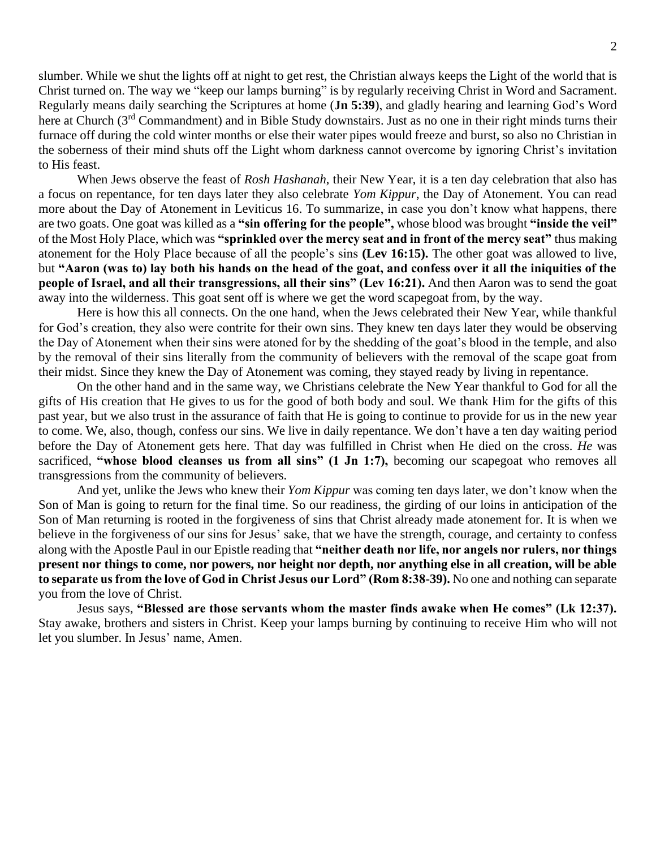slumber. While we shut the lights off at night to get rest, the Christian always keeps the Light of the world that is Christ turned on. The way we "keep our lamps burning" is by regularly receiving Christ in Word and Sacrament. Regularly means daily searching the Scriptures at home (**Jn 5:39**), and gladly hearing and learning God's Word here at Church (3<sup>rd</sup> Commandment) and in Bible Study downstairs. Just as no one in their right minds turns their furnace off during the cold winter months or else their water pipes would freeze and burst, so also no Christian in the soberness of their mind shuts off the Light whom darkness cannot overcome by ignoring Christ's invitation to His feast.

When Jews observe the feast of *Rosh Hashanah*, their New Year, it is a ten day celebration that also has a focus on repentance, for ten days later they also celebrate *Yom Kippur*, the Day of Atonement. You can read more about the Day of Atonement in Leviticus 16. To summarize, in case you don't know what happens, there are two goats. One goat was killed as a **"sin offering for the people",** whose blood was brought **"inside the veil"** of the Most Holy Place, which was **"sprinkled over the mercy seat and in front of the mercy seat"** thus making atonement for the Holy Place because of all the people's sins **(Lev 16:15).** The other goat was allowed to live, but **"Aaron (was to) lay both his hands on the head of the goat, and confess over it all the iniquities of the people of Israel, and all their transgressions, all their sins" (Lev 16:21).** And then Aaron was to send the goat away into the wilderness. This goat sent off is where we get the word scapegoat from, by the way.

Here is how this all connects. On the one hand, when the Jews celebrated their New Year, while thankful for God's creation, they also were contrite for their own sins. They knew ten days later they would be observing the Day of Atonement when their sins were atoned for by the shedding of the goat's blood in the temple, and also by the removal of their sins literally from the community of believers with the removal of the scape goat from their midst. Since they knew the Day of Atonement was coming, they stayed ready by living in repentance.

On the other hand and in the same way, we Christians celebrate the New Year thankful to God for all the gifts of His creation that He gives to us for the good of both body and soul. We thank Him for the gifts of this past year, but we also trust in the assurance of faith that He is going to continue to provide for us in the new year to come. We, also, though, confess our sins. We live in daily repentance. We don't have a ten day waiting period before the Day of Atonement gets here. That day was fulfilled in Christ when He died on the cross. *He* was sacrificed, **"whose blood cleanses us from all sins" (1 Jn 1:7),** becoming our scapegoat who removes all transgressions from the community of believers.

And yet, unlike the Jews who knew their *Yom Kippur* was coming ten days later, we don't know when the Son of Man is going to return for the final time. So our readiness, the girding of our loins in anticipation of the Son of Man returning is rooted in the forgiveness of sins that Christ already made atonement for. It is when we believe in the forgiveness of our sins for Jesus' sake, that we have the strength, courage, and certainty to confess along with the Apostle Paul in our Epistle reading that **"neither death nor life, nor angels nor rulers, nor things present nor things to come, nor powers, nor height nor depth, nor anything else in all creation, will be able to separate us from the love of God in Christ Jesus our Lord" (Rom 8:38-39).** No one and nothing can separate you from the love of Christ.

Jesus says, **"Blessed are those servants whom the master finds awake when He comes" (Lk 12:37).**  Stay awake, brothers and sisters in Christ. Keep your lamps burning by continuing to receive Him who will not let you slumber. In Jesus' name, Amen.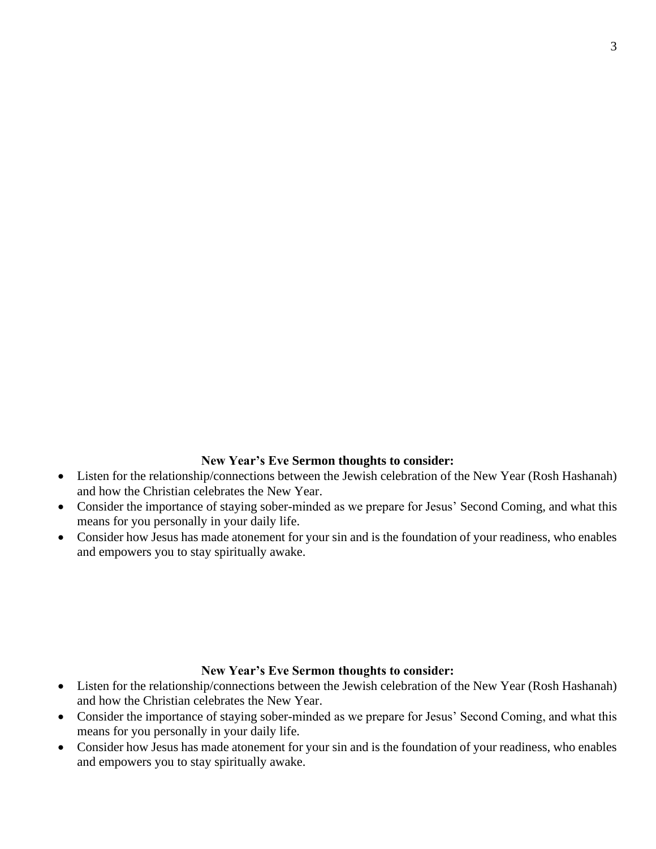## **New Year's Eve Sermon thoughts to consider:**

- Listen for the relationship/connections between the Jewish celebration of the New Year (Rosh Hashanah) and how the Christian celebrates the New Year.
- Consider the importance of staying sober-minded as we prepare for Jesus' Second Coming, and what this means for you personally in your daily life.
- Consider how Jesus has made atonement for your sin and is the foundation of your readiness, who enables and empowers you to stay spiritually awake.

#### **New Year's Eve Sermon thoughts to consider:**

- Listen for the relationship/connections between the Jewish celebration of the New Year (Rosh Hashanah) and how the Christian celebrates the New Year.
- Consider the importance of staying sober-minded as we prepare for Jesus' Second Coming, and what this means for you personally in your daily life.
- Consider how Jesus has made atonement for your sin and is the foundation of your readiness, who enables and empowers you to stay spiritually awake.